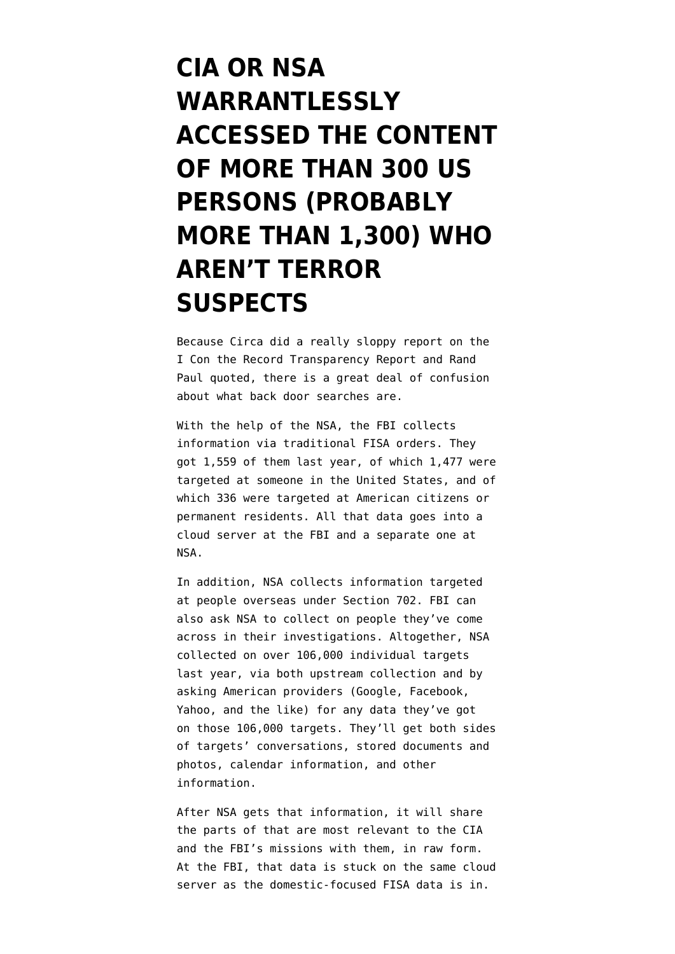## **[CIA OR NSA](https://www.emptywheel.net/2017/05/05/cia-or-nsa-warrantlessly-accessed-the-content-of-300-us-persons-probably-more-than-1300-who-arent-terror-suspects/) [WARRANTLESSLY](https://www.emptywheel.net/2017/05/05/cia-or-nsa-warrantlessly-accessed-the-content-of-300-us-persons-probably-more-than-1300-who-arent-terror-suspects/) [ACCESSED THE CONTENT](https://www.emptywheel.net/2017/05/05/cia-or-nsa-warrantlessly-accessed-the-content-of-300-us-persons-probably-more-than-1300-who-arent-terror-suspects/) [OF MORE THAN 300 US](https://www.emptywheel.net/2017/05/05/cia-or-nsa-warrantlessly-accessed-the-content-of-300-us-persons-probably-more-than-1300-who-arent-terror-suspects/) [PERSONS \(PROBABLY](https://www.emptywheel.net/2017/05/05/cia-or-nsa-warrantlessly-accessed-the-content-of-300-us-persons-probably-more-than-1300-who-arent-terror-suspects/) [MORE THAN 1,300\) WHO](https://www.emptywheel.net/2017/05/05/cia-or-nsa-warrantlessly-accessed-the-content-of-300-us-persons-probably-more-than-1300-who-arent-terror-suspects/) [AREN'T TERROR](https://www.emptywheel.net/2017/05/05/cia-or-nsa-warrantlessly-accessed-the-content-of-300-us-persons-probably-more-than-1300-who-arent-terror-suspects/) [SUSPECTS](https://www.emptywheel.net/2017/05/05/cia-or-nsa-warrantlessly-accessed-the-content-of-300-us-persons-probably-more-than-1300-who-arent-terror-suspects/)**

Because [Circa](http://circa.com/politics/circa-asks-president-trump-to-declassify-data-on-nsa-spying-on-americans) did a really sloppy report on the [I Con the Record Transparency Report](https://www.dni.gov/files/icotr/ic_transparecy_report_cy2016_5_2_17.pdf) and Rand Paul quoted, there is a great deal of confusion about what back door searches are.

With the help of the NSA, the FBI collects information via traditional FISA orders. They got 1,559 of them last year, of which 1,477 were targeted at someone in the United States, and of which 336 were targeted at American citizens or permanent residents. All that data goes into a cloud server at the FBI and a separate one at NSA.

In addition, NSA collects information targeted at people overseas under Section 702. FBI can also ask NSA to collect on people they've come across in their investigations. Altogether, NSA collected on over 106,000 individual targets last year, via both upstream collection and by asking American providers (Google, Facebook, Yahoo, and the like) for any data they've got on those 106,000 targets. They'll get both sides of targets' conversations, stored documents and photos, calendar information, and other information.

After NSA gets that information, it will share the parts of that are most relevant to the CIA and the FBI's missions with them, in raw form. At the FBI, that data is stuck on the same cloud server as the domestic-focused FISA data is in.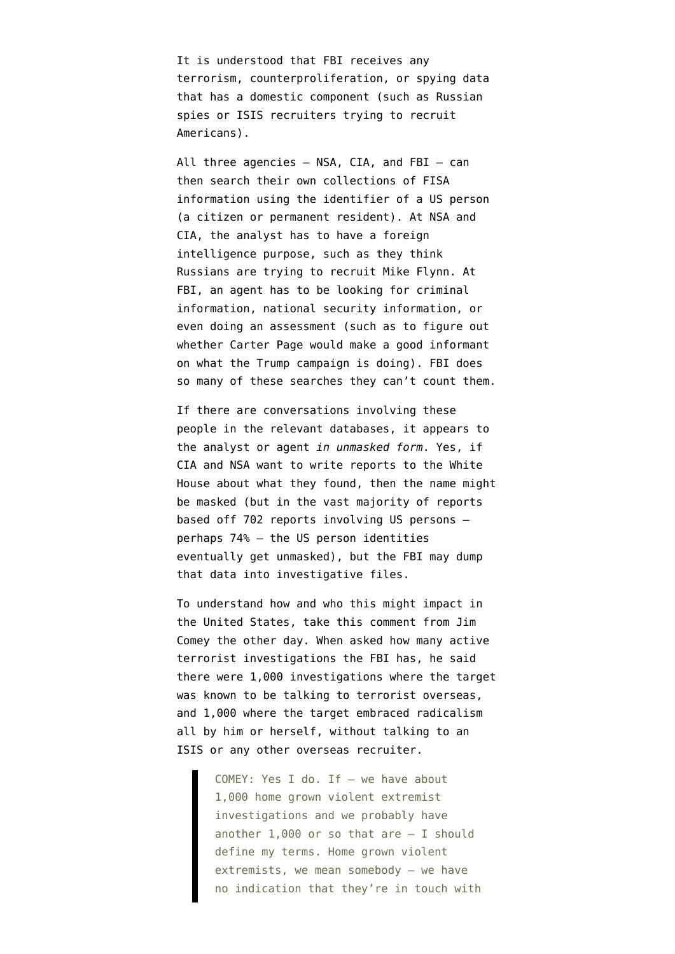It is understood that FBI receives any terrorism, counterproliferation, or spying data that has a domestic component (such as Russian spies or ISIS recruiters trying to recruit Americans).

All three agencies — NSA, CIA, and FBI — can then search their own collections of FISA information using the identifier of a US person (a citizen or permanent resident). At NSA and CIA, the analyst has to have a foreign intelligence purpose, such as they think Russians are trying to recruit Mike Flynn. At FBI, an agent has to be looking for criminal information, national security information, or even doing an assessment (such as to figure out whether Carter Page would make a good informant on what the Trump campaign is doing). FBI does so many of these searches they can't count them.

If there are conversations involving these people in the relevant databases, it appears to the analyst or agent *in unmasked form*. Yes, if CIA and NSA want to write reports to the White House about what they found, then the name might be masked (but in the vast majority of reports based off 702 reports involving US persons perhaps 74% — the US person identities eventually get unmasked), but the FBI may dump that data into investigative files.

To understand how and who this might impact in the United States, take this comment from Jim Comey the other day. When asked how many active terrorist investigations the FBI has, he [said](https://www.washingtonpost.com/news/post-politics/wp/2017/05/03/read-the-full-testimony-of-fbi-director-james-comey-in-which-he-discusses-clinton-email-investigation/?utm_term=.18a4987d5c53) there were 1,000 investigations where the target was known to be talking to terrorist overseas, and 1,000 where the target embraced radicalism all by him or herself, without talking to an ISIS or any other overseas recruiter.

> COMEY: Yes I do. If — we have about 1,000 home grown violent extremist investigations and we probably have another  $1,000$  or so that are  $-$  I should define my terms. Home grown violent extremists, we mean somebody — we have no indication that they're in touch with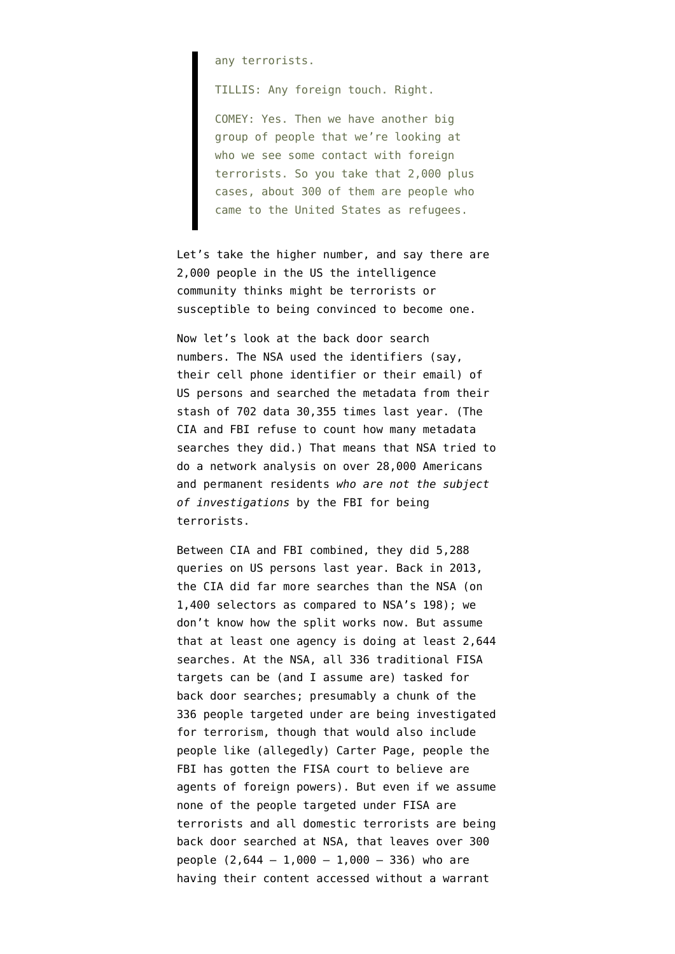any terrorists.

TILLIS: Any foreign touch. Right.

COMEY: Yes. Then we have another big group of people that we're looking at who we see some contact with foreign terrorists. So you take that 2,000 plus cases, about 300 of them are people who came to the United States as refugees.

Let's take the higher number, and say there are 2,000 people in the US the intelligence community thinks might be terrorists or susceptible to being convinced to become one.

Now let's look at the back door search numbers. The NSA used the identifiers (say, their cell phone identifier or their email) of US persons and searched the metadata from their stash of 702 data 30,355 times last year. (The CIA and FBI refuse to count how many metadata searches they did.) That means that NSA tried to do a network analysis on over 28,000 Americans and permanent residents *who are not the subject of investigations* by the FBI for being terrorists.

Between CIA and FBI combined, they did 5,288 queries on US persons last year. Back in 2013, the CIA did far more searches than the NSA (on 1,400 selectors as compared to NSA's 198); we don't know how the split works now. But assume that at least one agency is doing at least 2,644 searches. At the NSA, all 336 traditional FISA targets can be (and I assume are) tasked for back door searches; presumably a chunk of the 336 people targeted under are being investigated for terrorism, though that would also include people like (allegedly) Carter Page, people the FBI has gotten the FISA court to believe are agents of foreign powers). But even if we assume none of the people targeted under FISA are terrorists and all domestic terrorists are being back door searched at NSA, that leaves over 300 people  $(2,644 - 1,000 - 1,000 - 336)$  who are having their content accessed without a warrant